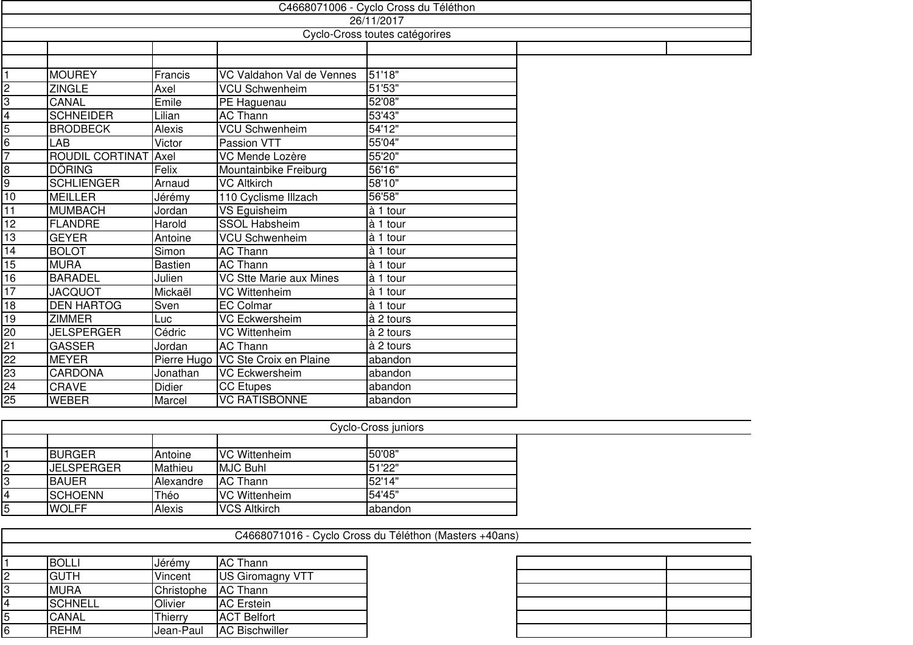|                                | C4668071006 - Cyclo Cross du Téléthon |               |                                |                       |  |  |
|--------------------------------|---------------------------------------|---------------|--------------------------------|-----------------------|--|--|
|                                |                                       |               |                                | 26/11/2017            |  |  |
| Cyclo-Cross toutes catégorires |                                       |               |                                |                       |  |  |
|                                |                                       |               |                                |                       |  |  |
|                                |                                       |               |                                |                       |  |  |
|                                | <b>MOUREY</b>                         | Francis       | VC Valdahon Val de Vennes      | 51'18"                |  |  |
| $\frac{1}{3}$                  | <b>ZINGLE</b>                         | Axel          | <b>VCU Schwenheim</b>          | 51'53"                |  |  |
|                                | CANAL                                 | Emile         | PE Haguenau                    | 52'08"                |  |  |
| $\overline{\mathbf{4}}$        | <b>SCHNEIDER</b>                      | Lilian        | <b>AC Thann</b>                | 53'43"                |  |  |
| $\overline{5}$                 | <b>BRODBECK</b>                       | <b>Alexis</b> | <b>VCU Schwenheim</b>          | 54'12"                |  |  |
| 6                              | LAB                                   | Victor        | Passion VTT                    | 55'04"                |  |  |
| 7                              | <b>ROUDIL CORTINAT</b>                | Axel          | VC Mende Lozère                | 55'20"                |  |  |
| $\overline{8}$                 | <b>DÖRING</b>                         | Felix         | Mountainbike Freiburg          | 56'16"                |  |  |
| 9                              | <b>SCHLIENGER</b>                     | Arnaud        | <b>VC Altkirch</b>             | 58'10"                |  |  |
| 10                             | <b>MEILLER</b>                        | Jérémy        | 110 Cyclisme Illzach           | 56'58"                |  |  |
| $\overline{11}$                | <b>MUMBACH</b>                        | Jordan        | VS Eguisheim                   | à 1 tour              |  |  |
| 12                             | <b>FLANDRE</b>                        | Harold        | <b>SSOL Habsheim</b>           | à 1 tour              |  |  |
| $\overline{13}$                | <b>GEYER</b>                          | Antoine       | <b>VCU Schwenheim</b>          | à 1 tour              |  |  |
| $\overline{14}$                | <b>BOLOT</b>                          | Simon         | <b>AC Thann</b>                | $\overline{a}$ 1 tour |  |  |
| $\overline{15}$                | <b>MURA</b>                           | Bastien       | <b>AC Thann</b>                | à 1 tour              |  |  |
| 16                             | <b>BARADEL</b>                        | Julien        | <b>VC Stte Marie aux Mines</b> | $\overline{a}$ 1 tour |  |  |
| $\overline{17}$                | <b>JACQUOT</b>                        | Mickaël       | <b>VC Wittenheim</b>           | à 1 tour              |  |  |
| 18                             | <b>DEN HARTOG</b>                     | Sven          | <b>EC Colmar</b>               | à 1 tour              |  |  |
| 19                             | <b>ZIMMER</b>                         | Luc           | <b>VC Eckwersheim</b>          | à 2 tours             |  |  |
| 20                             | <b>JELSPERGER</b>                     | Cédric        | <b>VC Wittenheim</b>           | à 2 tours             |  |  |
| $\overline{21}$                | <b>GASSER</b>                         | Jordan        | <b>AC Thann</b>                | à 2 tours             |  |  |
| 22                             | <b>MEYER</b>                          | Pierre Hugo   | VC Ste Croix en Plaine         | abandon               |  |  |
| 23                             | <b>CARDONA</b>                        | Jonathan      | <b>VC Eckwersheim</b>          | abandon               |  |  |
| $\overline{24}$                | <b>CRAVE</b>                          | <b>Didier</b> | CC Etupes                      | abandon               |  |  |
| 25                             | <b>WEBER</b>                          | Marcel        | <b>VC RATISBONNE</b>           | abandon               |  |  |

| Cyclo-Cross juniors |                   |                  |                      |         |  |
|---------------------|-------------------|------------------|----------------------|---------|--|
|                     |                   |                  |                      |         |  |
|                     | <b>BURGER</b>     | Antoine          | <b>VC Wittenheim</b> | 50'08"  |  |
| 12                  | <b>JELSPERGER</b> | Mathieu          | <b>MJC Buhl</b>      | 51'22"  |  |
|                     | <b>BAUER</b>      | <b>Alexandre</b> | <b>AC</b> Thann      | 52'14"  |  |
|                     | <b>SCHOENN</b>    | Théo             | <b>VC Wittenheim</b> | 54'45"  |  |
| 15                  | <b>WOLFF</b>      | <b>Alexis</b>    | <b>VCS Altkirch</b>  | abandon |  |

|   |                |            |                         | C4668071016 - Cyclo Cross du Téléthon (Masters +40ans) |
|---|----------------|------------|-------------------------|--------------------------------------------------------|
|   |                |            |                         |                                                        |
|   | <b>BOLLI</b>   | Jérémy     | <b>AC Thann</b>         |                                                        |
|   | <b>GUTH</b>    | Vincent    | <b>US Giromagny VTT</b> |                                                        |
| 3 | <b>MURA</b>    | Christophe | <b>AC</b> Thann         |                                                        |
| 4 | <b>SCHNELL</b> | Olivier    | <b>AC</b> Erstein       |                                                        |
| 5 | <b>CANAL</b>   | Thierry    | <b>ACT Belfort</b>      |                                                        |
| 6 | <b>REHM</b>    | Jean-Paul  | <b>AC Bischwiller</b>   |                                                        |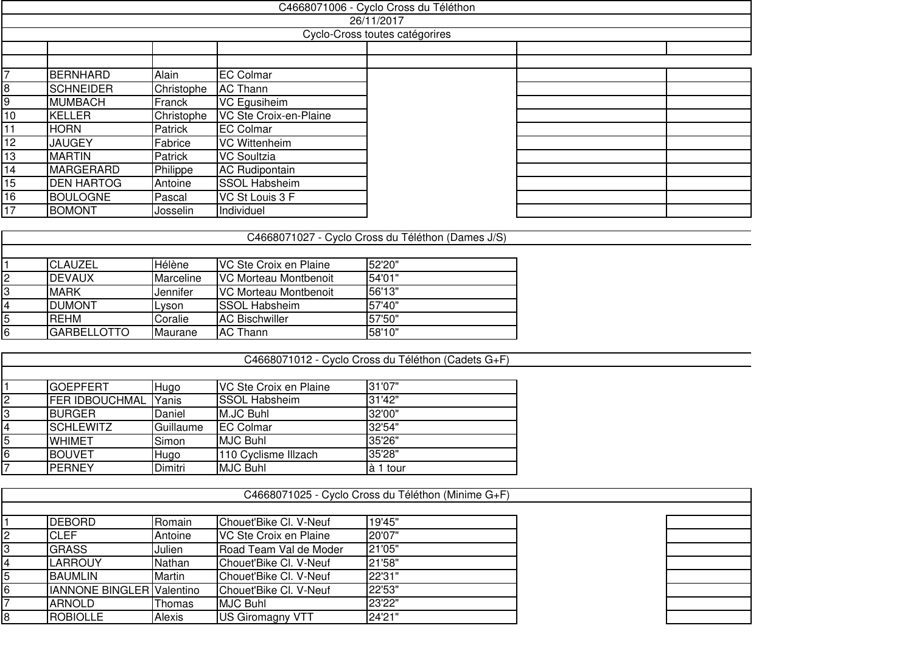|    |                   |            |                        | C4668071006 - Cyclo Cross du Téléthon |  |
|----|-------------------|------------|------------------------|---------------------------------------|--|
|    |                   |            |                        | 26/11/2017                            |  |
|    |                   |            |                        | Cyclo-Cross toutes catégorires        |  |
|    |                   |            |                        |                                       |  |
|    |                   |            |                        |                                       |  |
|    | <b>BERNHARD</b>   | Alain      | <b>EC Colmar</b>       |                                       |  |
| 8  | <b>SCHNEIDER</b>  | Christophe | <b>AC Thann</b>        |                                       |  |
| 9  | <b>MUMBACH</b>    | Franck     | VC Egusiheim           |                                       |  |
| 10 | <b>KELLER</b>     | Christophe | VC Ste Croix-en-Plaine |                                       |  |
| 11 | <b>HORN</b>       | Patrick    | <b>EC Colmar</b>       |                                       |  |
| 12 | <b>JAUGEY</b>     | Fabrice    | VC Wittenheim          |                                       |  |
| 13 | <b>MARTIN</b>     | Patrick    | <b>VC Soultzia</b>     |                                       |  |
| 14 | <b>MARGERARD</b>  | Philippe   | <b>AC Rudipontain</b>  |                                       |  |
| 15 | <b>DEN HARTOG</b> | Antoine    | <b>SSOL Habsheim</b>   |                                       |  |
| 16 | <b>BOULOGNE</b>   | Pascal     | VC St Louis 3 F        |                                       |  |
| 17 | <b>BOMONT</b>     | Josselin_  | Individuel             |                                       |  |
|    |                   |            |                        |                                       |  |

C4668071012 - Cyclo Cross du Téléthon (Cadets G+F)

| <b>ICLAUZEL</b>    | <b>Hélène</b>   | IVC Ste Croix en Plaine | 52'20"  |
|--------------------|-----------------|-------------------------|---------|
| <b>IDEVAUX</b>     | Marceline       | IVC Morteau Montbenoit  | 54'01"  |
| <b>IMARK</b>       | Jennifer        | IVC Morteau Montbenoit  | 156'13" |
| <b>DUMONT</b>      | Lvson           | ISSOL Habsheim          | 157'40" |
| <b>IREHM</b>       | Coralie         | <b>IAC Bischwiller</b>  | 157'50" |
| <b>GARBELLOTTO</b> | <b>IMaurane</b> | AC Thann                | 58'10"  |
|                    |                 |                         |         |

|   | <b>GOEPFERT</b>       | Hugo      | VC Ste Croix en Plaine | 31'07"    |
|---|-----------------------|-----------|------------------------|-----------|
| 2 | <b>FER IDBOUCHMAL</b> | Yanis     | <b>SSOL Habsheim</b>   | 31'42"    |
| 3 | <b>BURGER</b>         | Daniel    | M.JC Buhl              | 32'00"    |
| 4 | <b>SCHLEWITZ</b>      | Guillaume | <b>EC Colmar</b>       | 32'54"    |
| 5 | <b>WHIMET</b>         | Simon     | <b>MJC Buhl</b>        | 35'26"    |
| 6 | <b>BOUVET</b>         | Hugo      | 110 Cyclisme Illzach   | 35'28"    |
|   | <b>PERNEY</b>         | Dimitri   | <b>MJC Buhl</b>        | là 1 tour |

|    |                                  |         |                        | C4668071025 - Cyclo Cross du Téléthon (Minime G+F) |
|----|----------------------------------|---------|------------------------|----------------------------------------------------|
|    |                                  |         |                        |                                                    |
|    | <b>DEBORD</b>                    | Romain  | Chouet'Bike Cl. V-Neuf | 19'45"                                             |
|    | CLEF                             | Antoine | VC Ste Croix en Plaine | 20'07"                                             |
|    | <b>GRASS</b>                     | Julien  | Road Team Val de Moder | 21'05"                                             |
|    | <b>LARROUY</b>                   | Nathan  | Chouet'Bike Cl. V-Neuf | 21'58"                                             |
|    | <b>BAUMLIN</b>                   | Martin  | Chouet'Bike Cl. V-Neuf | 22'31"                                             |
| l6 | <b>IANNONE BINGLER Valentino</b> |         | Chouet'Bike Cl. V-Neuf | 22'53"                                             |
|    | <b>ARNOLD</b>                    | Thomas  | <b>MJC Buhl</b>        | 23'22"                                             |
| 18 | <b>ROBIOLLE</b>                  | Alexis  | US Giromagny VTT       | 24'21"                                             |
|    |                                  |         |                        |                                                    |